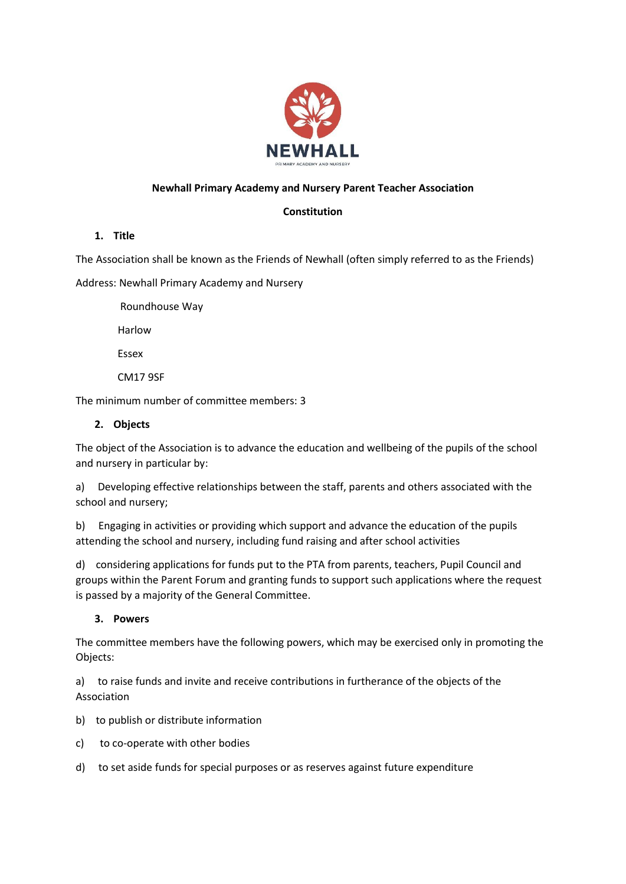

## **Newhall Primary Academy and Nursery Parent Teacher Association**

### **Constitution**

#### **1. Title**

The Association shall be known as the Friends of Newhall (often simply referred to as the Friends)

Address: Newhall Primary Academy and Nursery

Roundhouse Way

Harlow

Essex

CM17 9SF

The minimum number of committee members: 3

### **2. Objects**

The object of the Association is to advance the education and wellbeing of the pupils of the school and nursery in particular by:

a) Developing effective relationships between the staff, parents and others associated with the school and nursery;

b) Engaging in activities or providing which support and advance the education of the pupils attending the school and nursery, including fund raising and after school activities

d) considering applications for funds put to the PTA from parents, teachers, Pupil Council and groups within the Parent Forum and granting funds to support such applications where the request is passed by a majority of the General Committee.

## **3. Powers**

The committee members have the following powers, which may be exercised only in promoting the Objects:

a) to raise funds and invite and receive contributions in furtherance of the objects of the Association

- b) to publish or distribute information
- c) to co-operate with other bodies
- d) to set aside funds for special purposes or as reserves against future expenditure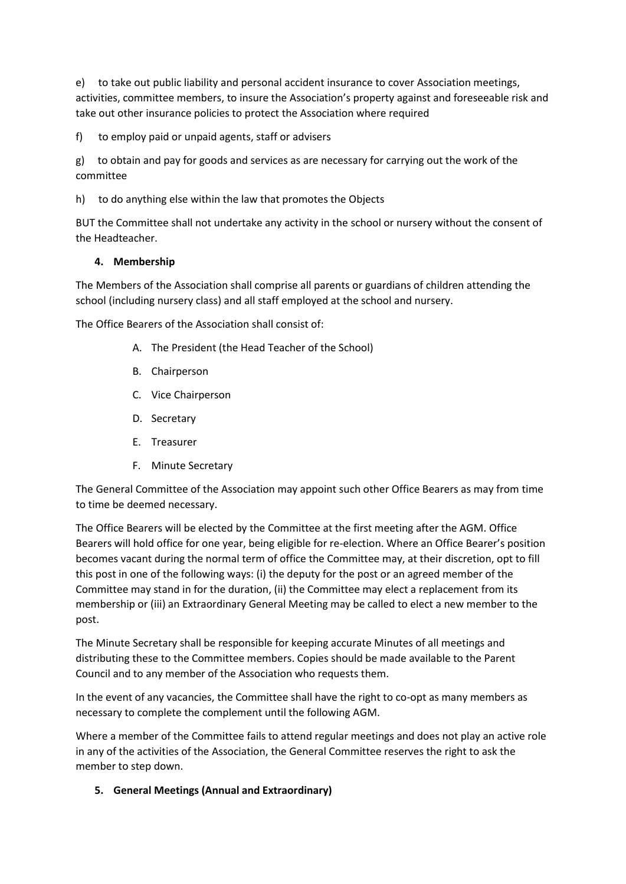e) to take out public liability and personal accident insurance to cover Association meetings, activities, committee members, to insure the Association's property against and foreseeable risk and take out other insurance policies to protect the Association where required

f) to employ paid or unpaid agents, staff or advisers

g) to obtain and pay for goods and services as are necessary for carrying out the work of the committee

h) to do anything else within the law that promotes the Objects

BUT the Committee shall not undertake any activity in the school or nursery without the consent of the Headteacher.

# **4. Membership**

The Members of the Association shall comprise all parents or guardians of children attending the school (including nursery class) and all staff employed at the school and nursery.

The Office Bearers of the Association shall consist of:

- A. The President (the Head Teacher of the School)
- B. Chairperson
- C. Vice Chairperson
- D. Secretary
- E. Treasurer
- F. Minute Secretary

The General Committee of the Association may appoint such other Office Bearers as may from time to time be deemed necessary.

The Office Bearers will be elected by the Committee at the first meeting after the AGM. Office Bearers will hold office for one year, being eligible for re-election. Where an Office Bearer's position becomes vacant during the normal term of office the Committee may, at their discretion, opt to fill this post in one of the following ways: (i) the deputy for the post or an agreed member of the Committee may stand in for the duration, (ii) the Committee may elect a replacement from its membership or (iii) an Extraordinary General Meeting may be called to elect a new member to the post.

The Minute Secretary shall be responsible for keeping accurate Minutes of all meetings and distributing these to the Committee members. Copies should be made available to the Parent Council and to any member of the Association who requests them.

In the event of any vacancies, the Committee shall have the right to co-opt as many members as necessary to complete the complement until the following AGM.

Where a member of the Committee fails to attend regular meetings and does not play an active role in any of the activities of the Association, the General Committee reserves the right to ask the member to step down.

## **5. General Meetings (Annual and Extraordinary)**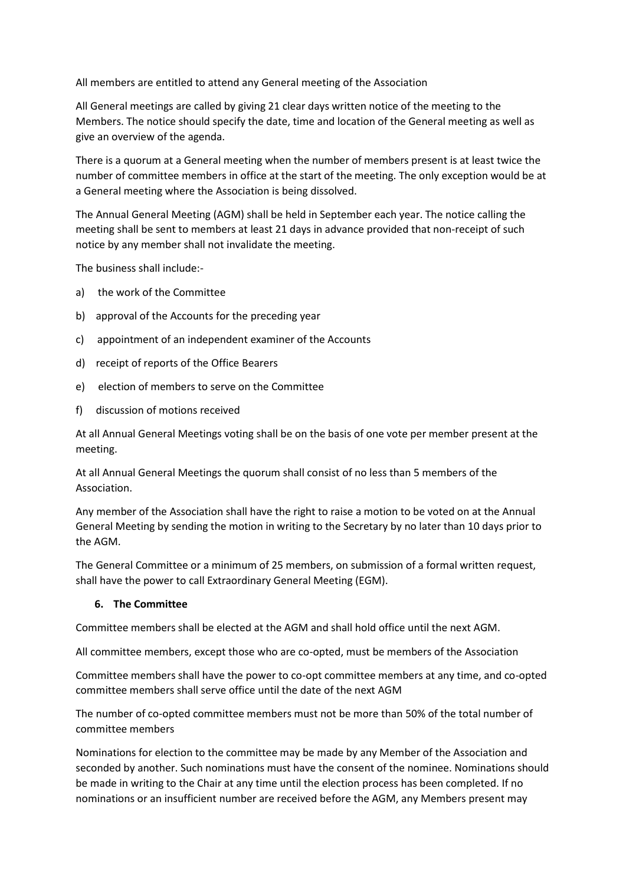All members are entitled to attend any General meeting of the Association

All General meetings are called by giving 21 clear days written notice of the meeting to the Members. The notice should specify the date, time and location of the General meeting as well as give an overview of the agenda.

There is a quorum at a General meeting when the number of members present is at least twice the number of committee members in office at the start of the meeting. The only exception would be at a General meeting where the Association is being dissolved.

The Annual General Meeting (AGM) shall be held in September each year. The notice calling the meeting shall be sent to members at least 21 days in advance provided that non-receipt of such notice by any member shall not invalidate the meeting.

The business shall include:-

- a) the work of the Committee
- b) approval of the Accounts for the preceding year
- c) appointment of an independent examiner of the Accounts
- d) receipt of reports of the Office Bearers
- e) election of members to serve on the Committee
- f) discussion of motions received

At all Annual General Meetings voting shall be on the basis of one vote per member present at the meeting.

At all Annual General Meetings the quorum shall consist of no less than 5 members of the Association.

Any member of the Association shall have the right to raise a motion to be voted on at the Annual General Meeting by sending the motion in writing to the Secretary by no later than 10 days prior to the AGM.

The General Committee or a minimum of 25 members, on submission of a formal written request, shall have the power to call Extraordinary General Meeting (EGM).

#### **6. The Committee**

Committee members shall be elected at the AGM and shall hold office until the next AGM.

All committee members, except those who are co-opted, must be members of the Association

Committee members shall have the power to co-opt committee members at any time, and co-opted committee members shall serve office until the date of the next AGM

The number of co-opted committee members must not be more than 50% of the total number of committee members

Nominations for election to the committee may be made by any Member of the Association and seconded by another. Such nominations must have the consent of the nominee. Nominations should be made in writing to the Chair at any time until the election process has been completed. If no nominations or an insufficient number are received before the AGM, any Members present may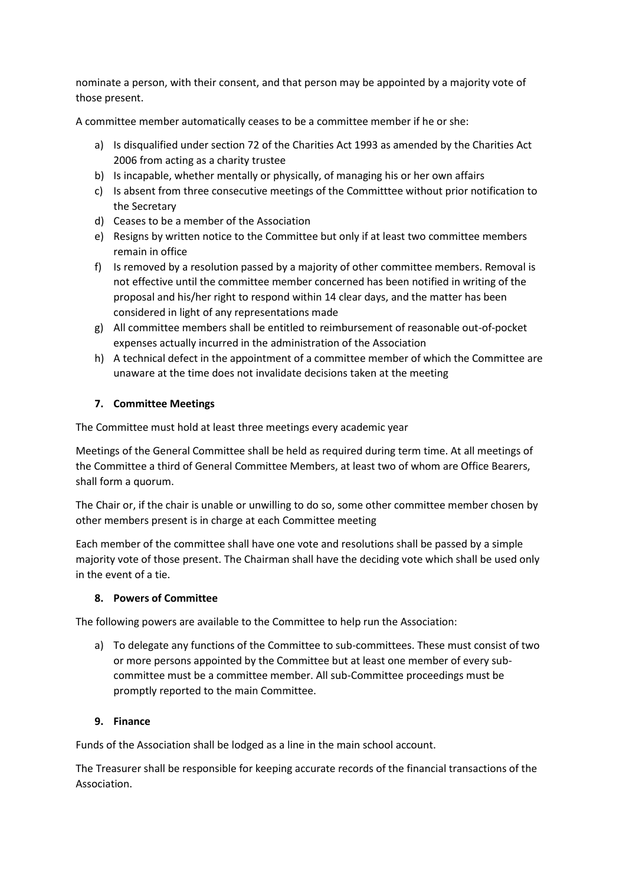nominate a person, with their consent, and that person may be appointed by a majority vote of those present.

A committee member automatically ceases to be a committee member if he or she:

- a) Is disqualified under section 72 of the Charities Act 1993 as amended by the Charities Act 2006 from acting as a charity trustee
- b) Is incapable, whether mentally or physically, of managing his or her own affairs
- c) Is absent from three consecutive meetings of the Committtee without prior notification to the Secretary
- d) Ceases to be a member of the Association
- e) Resigns by written notice to the Committee but only if at least two committee members remain in office
- f) Is removed by a resolution passed by a majority of other committee members. Removal is not effective until the committee member concerned has been notified in writing of the proposal and his/her right to respond within 14 clear days, and the matter has been considered in light of any representations made
- g) All committee members shall be entitled to reimbursement of reasonable out-of-pocket expenses actually incurred in the administration of the Association
- h) A technical defect in the appointment of a committee member of which the Committee are unaware at the time does not invalidate decisions taken at the meeting

# **7. Committee Meetings**

The Committee must hold at least three meetings every academic year

Meetings of the General Committee shall be held as required during term time. At all meetings of the Committee a third of General Committee Members, at least two of whom are Office Bearers, shall form a quorum.

The Chair or, if the chair is unable or unwilling to do so, some other committee member chosen by other members present is in charge at each Committee meeting

Each member of the committee shall have one vote and resolutions shall be passed by a simple majority vote of those present. The Chairman shall have the deciding vote which shall be used only in the event of a tie.

## **8. Powers of Committee**

The following powers are available to the Committee to help run the Association:

a) To delegate any functions of the Committee to sub-committees. These must consist of two or more persons appointed by the Committee but at least one member of every subcommittee must be a committee member. All sub-Committee proceedings must be promptly reported to the main Committee.

## **9. Finance**

Funds of the Association shall be lodged as a line in the main school account.

The Treasurer shall be responsible for keeping accurate records of the financial transactions of the Association.